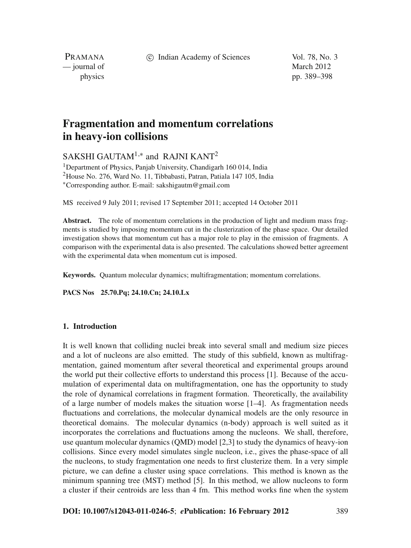c Indian Academy of Sciences Vol. 78, No. 3

PRAMANA — journal of March 2012

physics pp. 389–398

# **Fragmentation and momentum correlations in heavy-ion collisions**

SAKSHI GAUTAM<sup>1,\*</sup> and RAJNI KANT<sup>2</sup>

1Department of Physics, Panjab University, Chandigarh 160 014, India 2House No. 276, Ward No. 11, Tibbabasti, Patran, Patiala 147 105, India <sup>∗</sup>Corresponding author. E-mail: sakshigautm@gmail.com

MS received 9 July 2011; revised 17 September 2011; accepted 14 October 2011

**Abstract.** The role of momentum correlations in the production of light and medium mass fragments is studied by imposing momentum cut in the clusterization of the phase space. Our detailed investigation shows that momentum cut has a major role to play in the emission of fragments. A comparison with the experimental data is also presented. The calculations showed better agreement with the experimental data when momentum cut is imposed.

**Keywords.** Quantum molecular dynamics; multifragmentation; momentum correlations.

**PACS Nos 25.70.Pq; 24.10.Cn; 24.10.Lx**

## **1. Introduction**

It is well known that colliding nuclei break into several small and medium size pieces and a lot of nucleons are also emitted. The study of this subfield, known as multifragmentation, gained momentum after several theoretical and experimental groups around the world put their collective efforts to understand this process [1]. Because of the accumulation of experimental data on multifragmentation, one has the opportunity to study the role of dynamical correlations in fragment formation. Theoretically, the availability of a large number of models makes the situation worse [1–4]. As fragmentation needs fluctuations and correlations, the molecular dynamical models are the only resource in theoretical domains. The molecular dynamics (n-body) approach is well suited as it incorporates the correlations and fluctuations among the nucleons. We shall, therefore, use quantum molecular dynamics (QMD) model [2,3] to study the dynamics of heavy-ion collisions. Since every model simulates single nucleon, i.e., gives the phase-space of all the nucleons, to study fragmentation one needs to first clusterize them. In a very simple picture, we can define a cluster using space correlations. This method is known as the minimum spanning tree (MST) method [5]. In this method, we allow nucleons to form a cluster if their centroids are less than 4 fm. This method works fine when the system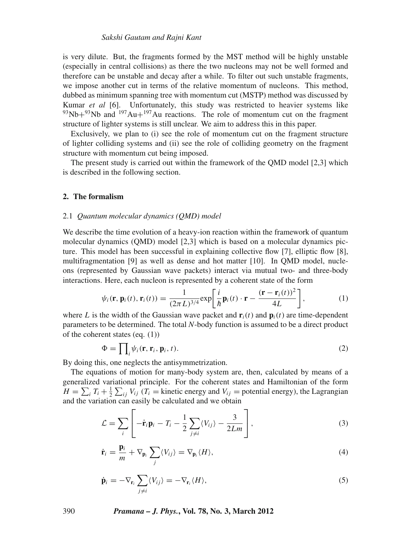is very dilute. But, the fragments formed by the MST method will be highly unstable (especially in central collisions) as there the two nucleons may not be well formed and therefore can be unstable and decay after a while. To filter out such unstable fragments, we impose another cut in terms of the relative momentum of nucleons. This method, dubbed as minimum spanning tree with momentum cut (MSTP) method was discussed by Kumar *et al* [6]. Unfortunately, this study was restricted to heavier systems like  $^{93}Nb+^{93}Nb$  and  $^{197}Au+^{197}Au$  reactions. The role of momentum cut on the fragment structure of lighter systems is still unclear. We aim to address this in this paper.

Exclusively, we plan to (i) see the role of momentum cut on the fragment structure of lighter colliding systems and (ii) see the role of colliding geometry on the fragment structure with momentum cut being imposed.

The present study is carried out within the framework of the QMD model [2,3] which is described in the following section.

#### **2. The formalism**

#### 2.1 *Quantum molecular dynamics (QMD) model*

We describe the time evolution of a heavy-ion reaction within the framework of quantum molecular dynamics (QMD) model [2,3] which is based on a molecular dynamics picture. This model has been successful in explaining collective flow [7], elliptic flow [8], multifragmentation [9] as well as dense and hot matter [10]. In QMD model, nucleons (represented by Gaussian wave packets) interact via mutual two- and three-body interactions. Here, each nucleon is represented by a coherent state of the form

$$
\psi_i(\mathbf{r}, \mathbf{p}_i(t), \mathbf{r}_i(t)) = \frac{1}{(2\pi L)^{3/4}} \exp\left[\frac{i}{\hbar} \mathbf{p}_i(t) \cdot \mathbf{r} - \frac{(\mathbf{r} - \mathbf{r}_i(t))^2}{4L}\right],\tag{1}
$$

where *L* is the width of the Gaussian wave packet and  $\mathbf{r}_i(t)$  and  $\mathbf{p}_i(t)$  are time-dependent parameters to be determined. The total *N*-body function is assumed to be a direct product of the coherent states (eq. (1))

$$
\Phi = \prod_{i} \psi_i(\mathbf{r}, \mathbf{r}_i, \mathbf{p}_i, t). \tag{2}
$$

By doing this, one neglects the antisymmetrization.

The equations of motion for many-body system are, then, calculated by means of a generalized variational principle. For the coherent states and Hamiltonian of the form  $H = \sum_i T_i + \frac{1}{2} \sum_{ij} V_{ij}$  ( $T_i$  = kinetic energy and  $V_{ij}$  = potential energy), the Lagrangian and the variation can easily be calculated and we obtain

$$
\mathcal{L} = \sum_{i} \left[ -\dot{\mathbf{r}}_{i} \mathbf{p}_{i} - T_{i} - \frac{1}{2} \sum_{j \neq i} \langle V_{ij} \rangle - \frac{3}{2Lm} \right],
$$
\n(3)

$$
\dot{\mathbf{r}}_i = \frac{\mathbf{p}_i}{m} + \nabla_{\mathbf{p}_i} \sum_j \langle V_{ij} \rangle = \nabla_{\mathbf{p}_i} \langle H \rangle, \tag{4}
$$

$$
\dot{\mathbf{p}}_i = -\nabla_{\mathbf{r}_i} \sum_{j \neq i} \langle V_{ij} \rangle = -\nabla_{\mathbf{r}_i} \langle H \rangle,
$$
\n(5)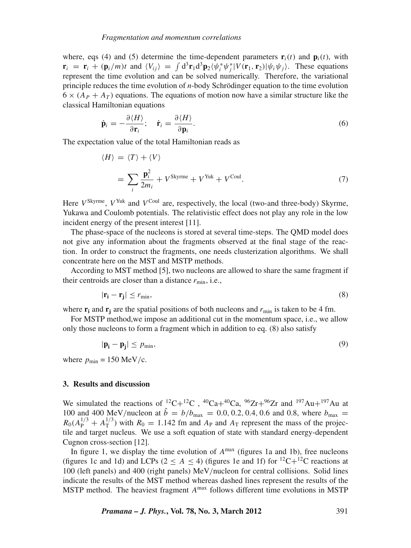where, eqs (4) and (5) determine the time-dependent parameters  $\mathbf{r}_i(t)$  and  $\mathbf{p}_i(t)$ , with  $\mathbf{r}_i = \mathbf{r}_i + (\mathbf{p}_i/m)t$  and  $\langle V_{ij} \rangle = \int d^3 \mathbf{r}_1 d^3 \mathbf{p}_2 \langle \psi_i^* \psi_j^* | V(\mathbf{r}_1, \mathbf{r}_2) | \psi_i \psi_j \rangle$ . These equations represent the time evolution and can be solved numerically. Therefore, the variational principle reduces the time evolution of *n*-body Schrödinger equation to the time evolution  $6 \times (A_P + A_T)$  equations. The equations of motion now have a similar structure like the classical Hamiltonian equations

$$
\dot{\mathbf{p}}_i = -\frac{\partial \langle H \rangle}{\partial \mathbf{r}_i}; \quad \dot{\mathbf{r}}_i = \frac{\partial \langle H \rangle}{\partial \mathbf{p}_i}.
$$
\n(6)

The expectation value of the total Hamiltonian reads as

$$
\langle H \rangle = \langle T \rangle + \langle V \rangle
$$
  
= 
$$
\sum_{i} \frac{\mathbf{p}_i^2}{2m_i} + V^{\text{Skyrme}} + V^{\text{Yuk}} + V^{\text{Coul}}.
$$
 (7)

Here  $V^{\text{Skyrme}}$ ,  $V^{\text{Yuk}}$  and  $V^{\text{Coul}}$  are, respectively, the local (two-and three-body) Skyrme, Yukawa and Coulomb potentials. The relativistic effect does not play any role in the low incident energy of the present interest [11].

The phase-space of the nucleons is stored at several time-steps. The QMD model does not give any information about the fragments observed at the final stage of the reaction. In order to construct the fragments, one needs clusterization algorithms. We shall concentrate here on the MST and MSTP methods.

According to MST method [5], two nucleons are allowed to share the same fragment if their centroids are closer than a distance  $r_{\min}$ , i.e.,

$$
|\mathbf{r_i} - \mathbf{r_j}| \le r_{\min},\tag{8}
$$

where  $\mathbf{r}_i$  and  $\mathbf{r}_j$  are the spatial positions of both nucleons and  $r_{\text{min}}$  is taken to be 4 fm.

For MSTP method,we impose an additional cut in the momentum space, i.e., we allow only those nucleons to form a fragment which in addition to eq. (8) also satisfy

$$
|\mathbf{p_i} - \mathbf{p_j}| \le p_{\min},\tag{9}
$$

where  $p_{\text{min}} = 150 \text{ MeV/c}$ .

#### **3. Results and discussion**

We simulated the reactions of <sup>12</sup>C+<sup>12</sup>C, <sup>40</sup>Ca+<sup>40</sup>Ca, <sup>96</sup>Zr+<sup>96</sup>Zr and <sup>197</sup>Au+<sup>197</sup>Au at 100 and 400 MeV/nucleon at  $\hat{b} = b/b_{\text{max}} = 0.0, 0.2, 0.4, 0.6$  and 0.8, where  $b_{\text{max}} =$  $R_0(A_P^{1/3} + A_T^{1/3})$  with  $R_0 = 1.142$  fm and  $A_P$  and  $A_T$  represent the mass of the projectile and target nucleus. We use a soft equation of state with standard energy-dependent Cugnon cross-section [12].

In figure 1, we display the time evolution of *A*max (figures 1a and 1b), free nucleons (figures 1c and 1d) and LCPs ( $2 \le A \le 4$ ) (figures 1e and 1f) for <sup>12</sup>C+<sup>12</sup>C reactions at 100 (left panels) and 400 (right panels) MeV/nucleon for central collisions. Solid lines indicate the results of the MST method whereas dashed lines represent the results of the MSTP method. The heaviest fragment *A*max follows different time evolutions in MSTP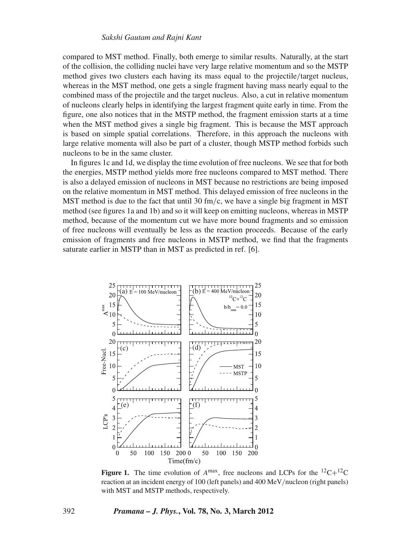### *Sakshi Gautam and Rajni Kant*

compared to MST method. Finally, both emerge to similar results. Naturally, at the start of the collision, the colliding nuclei have very large relative momentum and so the MSTP method gives two clusters each having its mass equal to the projectile/target nucleus, whereas in the MST method, one gets a single fragment having mass nearly equal to the combined mass of the projectile and the target nucleus. Also, a cut in relative momentum of nucleons clearly helps in identifying the largest fragment quite early in time. From the figure, one also notices that in the MSTP method, the fragment emission starts at a time when the MST method gives a single big fragment. This is because the MST approach is based on simple spatial correlations. Therefore, in this approach the nucleons with large relative momenta will also be part of a cluster, though MSTP method forbids such nucleons to be in the same cluster.

In figures 1c and 1d, we display the time evolution of free nucleons. We see that for both the energies, MSTP method yields more free nucleons compared to MST method. There is also a delayed emission of nucleons in MST because no restrictions are being imposed on the relative momentum in MST method. This delayed emission of free nucleons in the MST method is due to the fact that until 30 fm/c, we have a single big fragment in MST method (see figures 1a and 1b) and so it will keep on emitting nucleons, whereas in MSTP method, because of the momentum cut we have more bound fragments and so emission of free nucleons will eventually be less as the reaction proceeds. Because of the early emission of fragments and free nucleons in MSTP method, we find that the fragments saturate earlier in MSTP than in MST as predicted in ref. [6].



**Figure 1.** The time evolution of  $A^{max}$ , free nucleons and LCPs for the  $^{12}C+^{12}C$ reaction at an incident energy of 100 (left panels) and 400 MeV/nucleon (right panels) with MST and MSTP methods, respectively.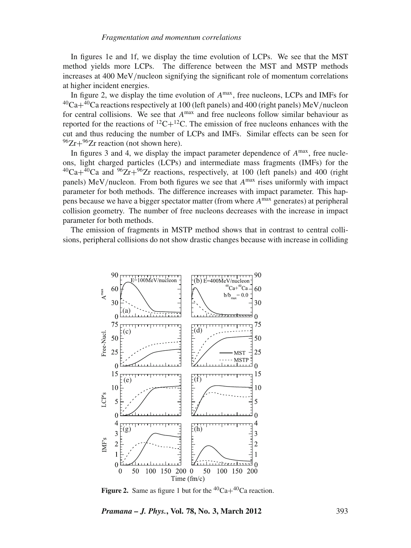In figures 1e and 1f, we display the time evolution of LCPs. We see that the MST method yields more LCPs. The difference between the MST and MSTP methods increases at 400 MeV/nucleon signifying the significant role of momentum correlations at higher incident energies.

In figure 2, we display the time evolution of *A*max, free nucleons, LCPs and IMFs for  $^{40}Ca + ^{40}Ca$  reactions respectively at 100 (left panels) and 400 (right panels) MeV/nucleon for central collisions. We see that  $A^{max}$  and free nucleons follow similar behaviour as reported for the reactions of  ${}^{12}C+{}^{12}C$ . The emission of free nucleons enhances with the cut and thus reducing the number of LCPs and IMFs. Similar effects can be seen for  $96Zr+96Zr$  reaction (not shown here).

In figures 3 and 4, we display the impact parameter dependence of  $A^{max}$ , free nucleons, light charged particles (LCPs) and intermediate mass fragments (IMFs) for the  $^{40}Ca + ^{40}Ca$  and  $^{96}Zr + ^{96}Zr$  reactions, respectively, at 100 (left panels) and 400 (right panels) MeV/nucleon. From both figures we see that *A*max rises uniformly with impact parameter for both methods. The difference increases with impact parameter. This happens because we have a bigger spectator matter (from where *A*max generates) at peripheral collision geometry. The number of free nucleons decreases with the increase in impact parameter for both methods.

The emission of fragments in MSTP method shows that in contrast to central collisions, peripheral collisions do not show drastic changes because with increase in colliding



**Figure 2.** Same as figure 1 but for the  ${}^{40}Ca + {}^{40}Ca$  reaction.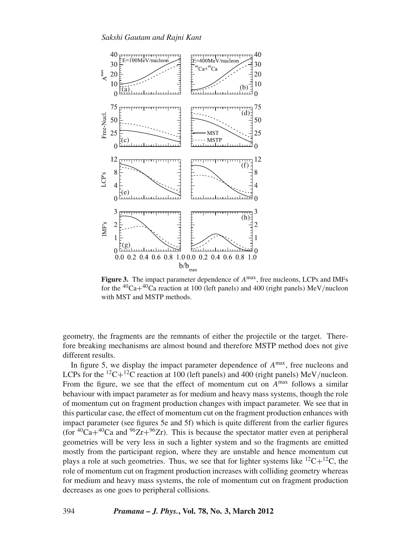

**Figure 3.** The impact parameter dependence of *A*max, free nucleons, LCPs and IMFs for the 40Ca+40Ca reaction at 100 (left panels) and 400 (right panels) MeV/nucleon with MST and MSTP methods.

geometry, the fragments are the remnants of either the projectile or the target. Therefore breaking mechanisms are almost bound and therefore MSTP method does not give different results.

In figure 5, we display the impact parameter dependence of *A*max, free nucleons and LCPs for the <sup>12</sup>C+<sup>12</sup>C reaction at 100 (left panels) and 400 (right panels) MeV/nucleon. From the figure, we see that the effect of momentum cut on  $A^{max}$  follows a similar behaviour with impact parameter as for medium and heavy mass systems, though the role of momentum cut on fragment production changes with impact parameter. We see that in this particular case, the effect of momentum cut on the fragment production enhances with impact parameter (see figures 5e and 5f) which is quite different from the earlier figures (for <sup>40</sup>Ca+<sup>40</sup>Ca and <sup>96</sup>Zr+<sup>96</sup>Zr). This is because the spectator matter even at peripheral geometries will be very less in such a lighter system and so the fragments are emitted mostly from the participant region, where they are unstable and hence momentum cut plays a role at such geometries. Thus, we see that for lighter systems like  ${}^{12}C+{}^{12}C$ , the role of momentum cut on fragment production increases with colliding geometry whereas for medium and heavy mass systems, the role of momentum cut on fragment production decreases as one goes to peripheral collisions.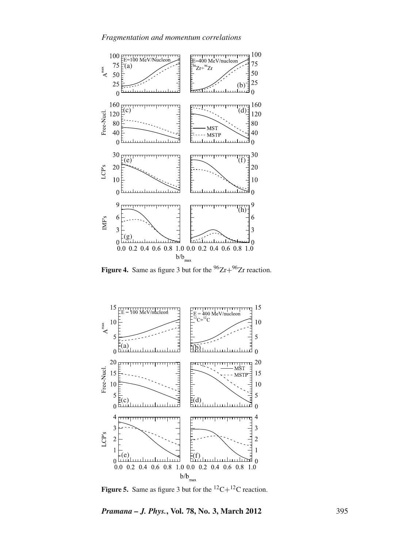

**Figure 4.** Same as figure 3 but for the  $96Zr+96Zr$  reaction.



**Figure 5.** Same as figure 3 but for the  ${}^{12}C+{}^{12}C$  reaction.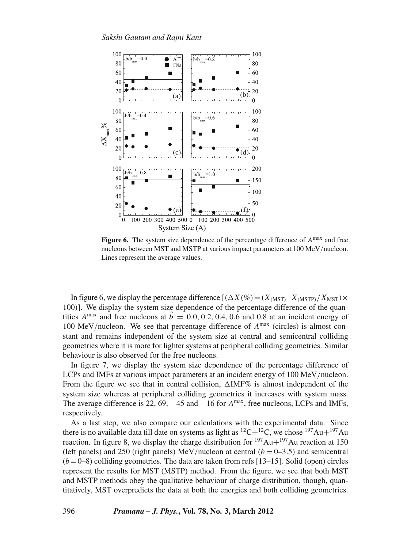

**Figure 6.** The system size dependence of the percentage difference of *A*max and free nucleons between MST and MSTP at various impact parameters at 100 MeV/nucleon. Lines represent the average values.

In figure 6, we display the percentage difference  $[(\Delta X(\%) = (X_{MST}-X_{MSTP})/X_{MST}) \times$ 100)]. We display the system size dependence of the percentage difference of the quantities  $A^{max}$  and free nucleons at  $\hat{b} = 0.0, 0.2, 0.4, 0.6$  and 0.8 at an incident energy of 100 MeV/nucleon. We see that percentage difference of *A*max (circles) is almost constant and remains independent of the system size at central and semicentral colliding geometries where it is more for lighter systems at peripheral colliding geometries. Similar behaviour is also observed for the free nucleons.

In figure 7, we display the system size dependence of the percentage difference of LCPs and IMFs at various impact parameters at an incident energy of 100 MeV/nucleon. From the figure we see that in central collision,  $\Delta$ IMF% is almost independent of the system size whereas at peripheral colliding geometries it increases with system mass. The average difference is 22, 69, −45 and −16 for *A*max, free nucleons, LCPs and IMFs, respectively.

As a last step, we also compare our calculations with the experimental data. Since there is no available data till date on systems as light as  ${}^{12}C+{}^{12}C$ , we chose  ${}^{197}Au+{}^{197}Au$ reaction. In figure 8, we display the charge distribution for  $197Au + 197Au$  reaction at 150 (left panels) and 250 (right panels) MeV/nucleon at central  $(b = 0-3.5)$  and semicentral  $(b=0-8)$  colliding geometries. The data are taken from refs [13–15]. Solid (open) circles represent the results for MST (MSTP) method. From the figure, we see that both MST and MSTP methods obey the qualitative behaviour of charge distribution, though, quantitatively, MST overpredicts the data at both the energies and both colliding geometries.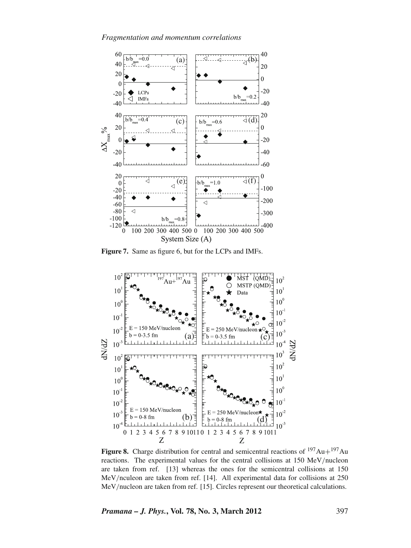

**Figure 7.** Same as figure 6, but for the LCPs and IMFs.



**Figure 8.** Charge distribution for central and semicentral reactions of  $197Au+197Au$ reactions. The experimental values for the central collisions at 150 MeV/nucleon are taken from ref. [13] whereas the ones for the semicentral collisions at 150 MeV/nculeon are taken from ref. [14]. All experimental data for collisions at 250 MeV/nucleon are taken from ref. [15]. Circles represent our theoretical calculations.